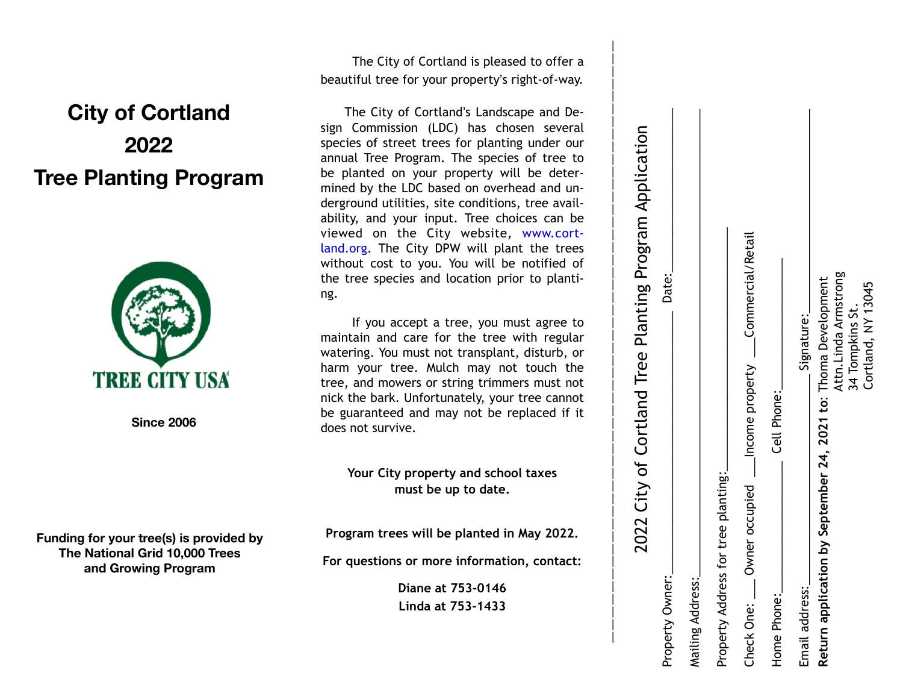## **City of Cortland 2022 Tree Planting Program**



**Since 2006**

**Funding for your tree(s) is provided by The National Grid 10,000 Trees and Growing Program**

 The City of Cortland is pleased to offer a beautiful tree for your property's right-of-way.

The City of Cortland's Landscape and Design Commission (LDC) has chosen several species of street trees for planting under our annual Tree Program. The species of tree to be planted on your property will be deter mined by the LDC based on overhead and un derground utilities, site conditions, tree avail ability, and your input. Tree choices can be viewed on the City website, www.cortland.org. The City DPW will plant the trees without cost to you. You will be notified of the tree species and location prior to planti ng.

 If you accept a tree, you must agree to maintain and care for the tree with regular watering. You must not transplant, disturb, or harm your tree. Mulch may not touch the tree, and mowers or string trimmers must not nick the bark. Unfortunately, your tree cannot be guaranteed and may not be replaced if it does not survive.

> **Your City property and school taxes must be up to date.**

**Program trees will be planted in May 2022.** 

**For questions or more information, contact:** 

**Diane at 753-0146 Linda at 753-1433** 

|                                                                                | 2022 City of Cortland Tree Planting Program Application        |  |
|--------------------------------------------------------------------------------|----------------------------------------------------------------|--|
| Property Owner:                                                                | Date:                                                          |  |
| Mailing Address:                                                               |                                                                |  |
| tree planting:<br>Property Address for                                         |                                                                |  |
| ner occupied ____Income property ____Commercial/Retail<br>ι<br>Θ<br>Check One: |                                                                |  |
| Cell Phone:<br>Home Phone:                                                     |                                                                |  |
| Email address:                                                                 | Signature:                                                     |  |
| by September 24, 2021 to: Thoma Development<br>Return application              | Attn. Linda Armstrong<br>Cortland, NY 13045<br>34 Tompkins St. |  |